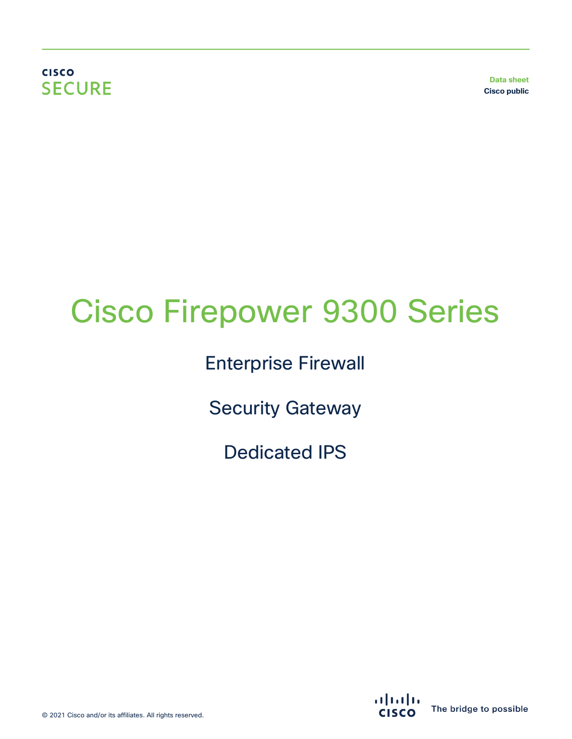**CISCO SECURE** 

**Data sheet Cisco public**

# Cisco Firepower 9300 Series

Enterprise Firewall

Security Gateway

Dedicated IPS

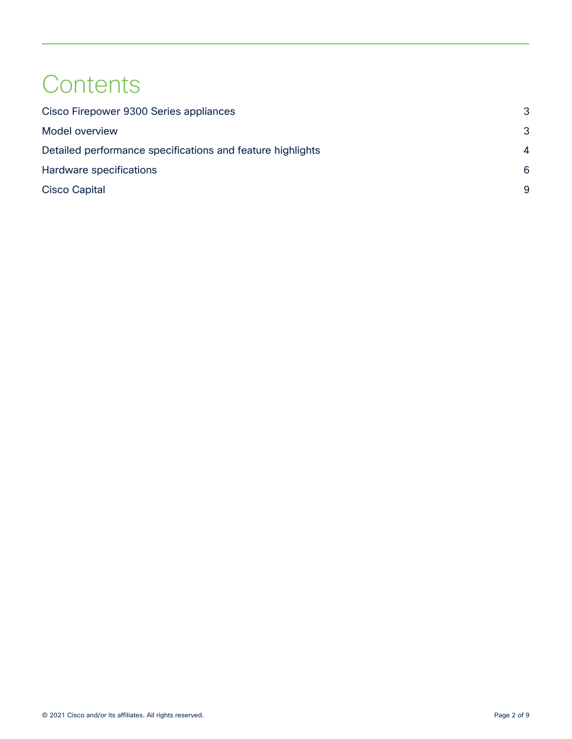# **Contents**

| Cisco Firepower 9300 Series appliances                     | 3                      |
|------------------------------------------------------------|------------------------|
| <b>Model overview</b>                                      | 3                      |
| Detailed performance specifications and feature highlights | $\boldsymbol{\Lambda}$ |
| Hardware specifications                                    | 6                      |
| <b>Cisco Capital</b>                                       | q                      |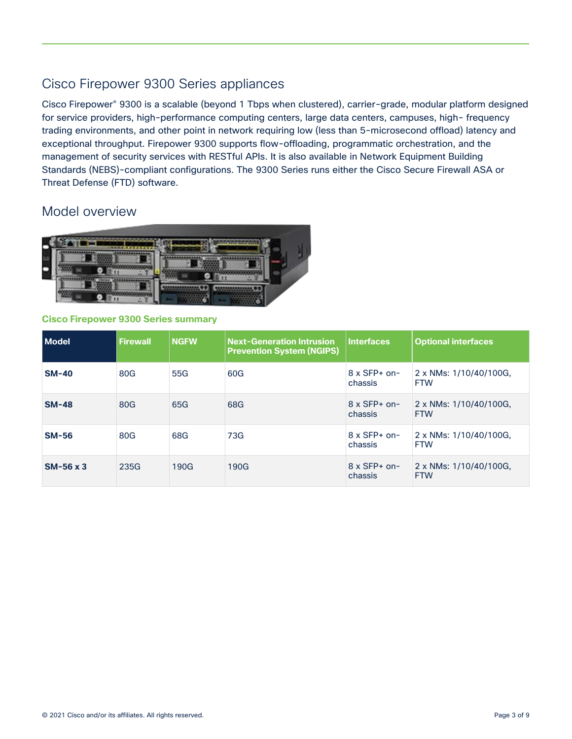# <span id="page-2-0"></span>Cisco Firepower 9300 Series appliances

Cisco Firepower® 9300 is a scalable (beyond 1 Tbps when clustered), carrier-grade, modular platform designed for service providers, high-performance computing centers, large data centers, campuses, high- frequency trading environments, and other point in network requiring low (less than 5-microsecond offload) latency and exceptional throughput. Firepower 9300 supports flow-offloading, programmatic orchestration, and the management of security services with RESTful APIs. It is also available in Network Equipment Building Standards (NEBS)-compliant configurations. The 9300 Series runs either the Cisco Secure Firewall ASA or Threat Defense (FTD) software.

### <span id="page-2-1"></span>Model overview



#### **Cisco Firepower 9300 Series summary**

| l Model          | <b>Firewall</b> | <b>NGFW</b> | <b>Next-Generation Intrusion</b><br><b>Prevention System (NGIPS)</b> | <b>Interfaces</b>              | <b>Optional interfaces</b>           |
|------------------|-----------------|-------------|----------------------------------------------------------------------|--------------------------------|--------------------------------------|
| $SM-40$          | 80G             | 55G         | 60G                                                                  | $8 \times$ SFP+ on-<br>chassis | 2 x NMs: 1/10/40/100G,<br><b>FTW</b> |
| <b>SM-48</b>     | 80G             | 65G         | 68G                                                                  | $8 \times$ SFP+ on-<br>chassis | 2 x NMs: 1/10/40/100G,<br><b>FTW</b> |
| <b>SM-56</b>     | 80G             | 68G         | 73G                                                                  | $8 \times$ SFP+ on-<br>chassis | 2 x NMs: 1/10/40/100G,<br><b>FTW</b> |
| $SM-56 \times 3$ | 235G            | 190G        | 190G                                                                 | $8 \times$ SFP+ on-<br>chassis | 2 x NMs: 1/10/40/100G,<br><b>FTW</b> |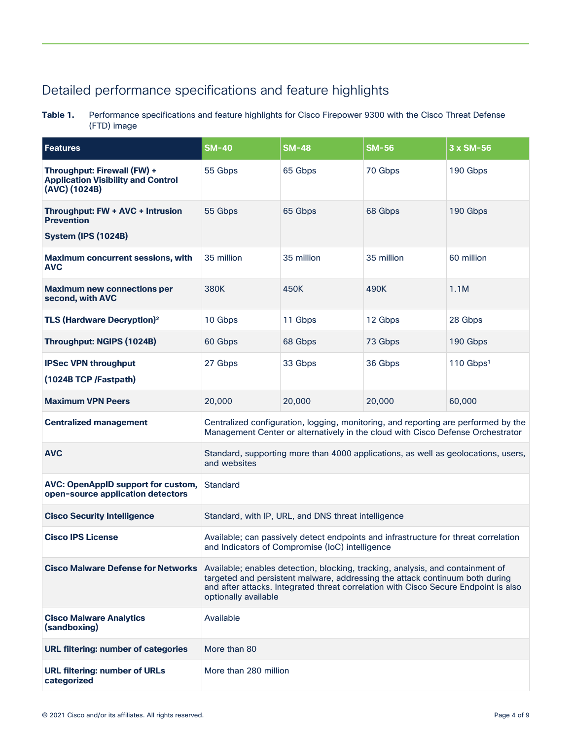# <span id="page-3-0"></span>Detailed performance specifications and feature highlights

**Table 1.** Performance specifications and feature highlights for Cisco Firepower 9300 with the Cisco Threat Defense (FTD) image

| Features                                                                                  | $SM-40$                                                                                                                                                                                                                                                                       | <b>SM-48</b> | <b>SM-56</b> | 3 x SM-56             |
|-------------------------------------------------------------------------------------------|-------------------------------------------------------------------------------------------------------------------------------------------------------------------------------------------------------------------------------------------------------------------------------|--------------|--------------|-----------------------|
| Throughput: Firewall (FW) +<br><b>Application Visibility and Control</b><br>(AVC) (1024B) | 55 Gbps                                                                                                                                                                                                                                                                       | 65 Gbps      | 70 Gbps      | 190 Gbps              |
| Throughput: FW + AVC + Intrusion<br><b>Prevention</b><br><b>System (IPS (1024B)</b>       | 55 Gbps                                                                                                                                                                                                                                                                       | 65 Gbps      | 68 Gbps      | 190 Gbps              |
| <b>Maximum concurrent sessions, with</b><br><b>AVC</b>                                    | 35 million                                                                                                                                                                                                                                                                    | 35 million   | 35 million   | 60 million            |
| <b>Maximum new connections per</b><br>second, with AVC                                    | 380K                                                                                                                                                                                                                                                                          | 450K         | 490K         | 1.1M                  |
| <b>TLS (Hardware Decryption)<sup>2</sup></b>                                              | 10 Gbps                                                                                                                                                                                                                                                                       | 11 Gbps      | 12 Gbps      | 28 Gbps               |
| <b>Throughput: NGIPS (1024B)</b>                                                          | 60 Gbps                                                                                                                                                                                                                                                                       | 68 Gbps      | 73 Gbps      | 190 Gbps              |
| <b>IPSec VPN throughput</b><br>(1024B TCP /Fastpath)                                      | 27 Gbps                                                                                                                                                                                                                                                                       | 33 Gbps      | 36 Gbps      | 110 Gbps <sup>1</sup> |
| <b>Maximum VPN Peers</b>                                                                  | 20,000                                                                                                                                                                                                                                                                        | 20,000       | 20,000       | 60,000                |
| <b>Centralized management</b>                                                             | Centralized configuration, logging, monitoring, and reporting are performed by the<br>Management Center or alternatively in the cloud with Cisco Defense Orchestrator                                                                                                         |              |              |                       |
| <b>AVC</b>                                                                                | Standard, supporting more than 4000 applications, as well as geolocations, users,<br>and websites                                                                                                                                                                             |              |              |                       |
| <b>AVC: OpenAppID support for custom,</b><br>open-source application detectors            | Standard                                                                                                                                                                                                                                                                      |              |              |                       |
| <b>Cisco Security Intelligence</b>                                                        | Standard, with IP, URL, and DNS threat intelligence                                                                                                                                                                                                                           |              |              |                       |
| <b>Cisco IPS License</b>                                                                  | Available; can passively detect endpoints and infrastructure for threat correlation<br>and Indicators of Compromise (IoC) intelligence                                                                                                                                        |              |              |                       |
| <b>Cisco Malware Defense for Networks</b>                                                 | Available; enables detection, blocking, tracking, analysis, and containment of<br>targeted and persistent malware, addressing the attack continuum both during<br>and after attacks. Integrated threat correlation with Cisco Secure Endpoint is also<br>optionally available |              |              |                       |
| <b>Cisco Malware Analytics</b><br>(sandboxing)                                            | Available                                                                                                                                                                                                                                                                     |              |              |                       |
| <b>URL filtering: number of categories</b>                                                | More than 80                                                                                                                                                                                                                                                                  |              |              |                       |
| <b>URL filtering: number of URLs</b><br>categorized                                       | More than 280 million                                                                                                                                                                                                                                                         |              |              |                       |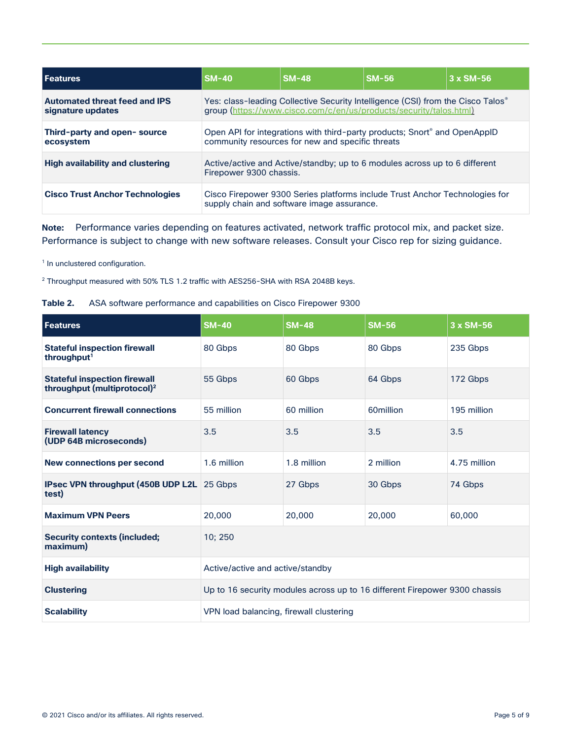| <b>Features</b>                                           | $SM-40$                                                                                                                                                           | <b>SM-48</b> | <b>SM-56</b> | $3 \times SM-56$ |
|-----------------------------------------------------------|-------------------------------------------------------------------------------------------------------------------------------------------------------------------|--------------|--------------|------------------|
| <b>Automated threat feed and IPS</b><br>signature updates | Yes: class-leading Collective Security Intelligence (CSI) from the Cisco Talos <sup>®</sup><br>group (https://www.cisco.com/c/en/us/products/security/talos.html) |              |              |                  |
| Third-party and open-source<br>ecosystem                  | Open API for integrations with third-party products; Snort <sup>®</sup> and OpenAppID<br>community resources for new and specific threats                         |              |              |                  |
| <b>High availability and clustering</b>                   | Active/active and Active/standby; up to 6 modules across up to 6 different<br>Firepower 9300 chassis.                                                             |              |              |                  |
| <b>Cisco Trust Anchor Technologies</b>                    | Cisco Firepower 9300 Series platforms include Trust Anchor Technologies for<br>supply chain and software image assurance.                                         |              |              |                  |

**Note:** Performance varies depending on features activated, network traffic protocol mix, and packet size. Performance is subject to change with new software releases. Consult your Cisco rep for sizing guidance.

<sup>1</sup> In unclustered configuration.

<sup>2</sup> Throughput measured with 50% TLS 1.2 traffic with AES256-SHA with RSA 2048B keys.

| Features                                                                       | <b>SM-40</b>                                                               | <b>SM-48</b> | <b>SM-56</b> | $3 \times SM - 56$ |
|--------------------------------------------------------------------------------|----------------------------------------------------------------------------|--------------|--------------|--------------------|
| <b>Stateful inspection firewall</b><br>throughput <sup>1</sup>                 | 80 Gbps                                                                    | 80 Gbps      | 80 Gbps      | 235 Gbps           |
| <b>Stateful inspection firewall</b><br>throughput (multiprotocol) <sup>2</sup> | 55 Gbps                                                                    | 60 Gbps      | 64 Gbps      | 172 Gbps           |
| <b>Concurrent firewall connections</b>                                         | 55 million                                                                 | 60 million   | 60million    | 195 million        |
| <b>Firewall latency</b><br>(UDP 64B microseconds)                              | 3.5                                                                        | 3.5          | 3.5          | 3.5                |
| <b>New connections per second</b>                                              | 1.6 million                                                                | 1.8 million  | 2 million    | 4.75 million       |
| IPsec VPN throughput (450B UDP L2L 25 Gbps<br>test)                            |                                                                            | 27 Gbps      | 30 Gbps      | 74 Gbps            |
| <b>Maximum VPN Peers</b>                                                       | 20,000                                                                     | 20,000       | 20,000       | 60,000             |
| <b>Security contexts (included;</b><br>maximum)                                | 10; 250                                                                    |              |              |                    |
| <b>High availability</b>                                                       | Active/active and active/standby                                           |              |              |                    |
| <b>Clustering</b>                                                              | Up to 16 security modules across up to 16 different Firepower 9300 chassis |              |              |                    |
| <b>Scalability</b>                                                             | VPN load balancing, firewall clustering                                    |              |              |                    |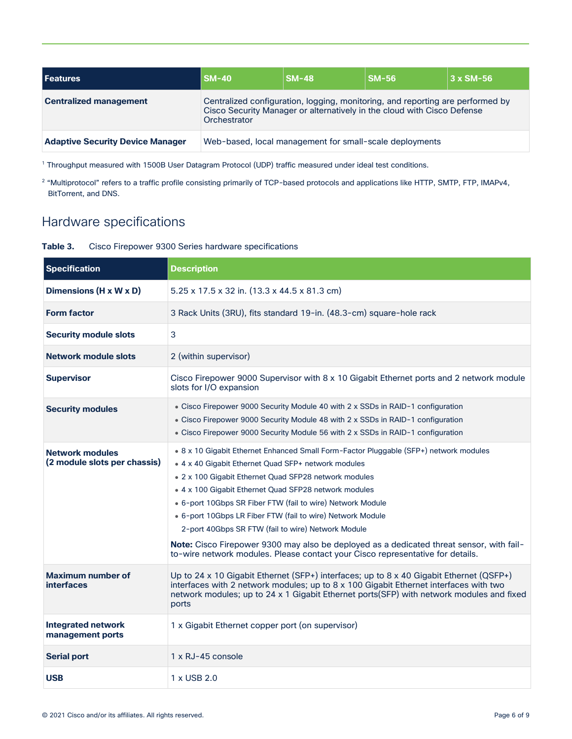| <b>Features</b>                         | $SM-40$                                                                                                                                                                   | <b>SM-48</b>                                            | <b>SM-56</b> | $3 \times SM-56$ |
|-----------------------------------------|---------------------------------------------------------------------------------------------------------------------------------------------------------------------------|---------------------------------------------------------|--------------|------------------|
| <b>Centralized management</b>           | Centralized configuration, logging, monitoring, and reporting are performed by<br>Cisco Security Manager or alternatively in the cloud with Cisco Defense<br>Orchestrator |                                                         |              |                  |
| <b>Adaptive Security Device Manager</b> |                                                                                                                                                                           | Web-based, local management for small-scale deployments |              |                  |

<sup>1</sup> Throughput measured with 1500B User Datagram Protocol (UDP) traffic measured under ideal test conditions.

<sup>2</sup> "Multiprotocol" refers to a traffic profile consisting primarily of TCP-based protocols and applications like HTTP, SMTP, FTP, IMAPv4, BitTorrent, and DNS.

## <span id="page-5-0"></span>Hardware specifications

#### **Table 3.** Cisco Firepower 9300 Series hardware specifications

| <b>Specification</b>                                   | <b>Description</b>                                                                                                                                                                                                                                                                                                                                                                                                                                                                                                                                                                                                             |
|--------------------------------------------------------|--------------------------------------------------------------------------------------------------------------------------------------------------------------------------------------------------------------------------------------------------------------------------------------------------------------------------------------------------------------------------------------------------------------------------------------------------------------------------------------------------------------------------------------------------------------------------------------------------------------------------------|
| Dimensions (H x W x D)                                 | $5.25 \times 17.5 \times 32$ in. $(13.3 \times 44.5 \times 81.3$ cm)                                                                                                                                                                                                                                                                                                                                                                                                                                                                                                                                                           |
| <b>Form factor</b>                                     | 3 Rack Units (3RU), fits standard 19-in. (48.3-cm) square-hole rack                                                                                                                                                                                                                                                                                                                                                                                                                                                                                                                                                            |
| <b>Security module slots</b>                           | 3                                                                                                                                                                                                                                                                                                                                                                                                                                                                                                                                                                                                                              |
| <b>Network module slots</b>                            | 2 (within supervisor)                                                                                                                                                                                                                                                                                                                                                                                                                                                                                                                                                                                                          |
| <b>Supervisor</b>                                      | Cisco Firepower 9000 Supervisor with 8 x 10 Gigabit Ethernet ports and 2 network module<br>slots for I/O expansion                                                                                                                                                                                                                                                                                                                                                                                                                                                                                                             |
| <b>Security modules</b>                                | • Cisco Firepower 9000 Security Module 40 with 2 x SSDs in RAID-1 configuration<br>• Cisco Firepower 9000 Security Module 48 with 2 x SSDs in RAID-1 configuration<br>• Cisco Firepower 9000 Security Module 56 with 2 x SSDs in RAID-1 configuration                                                                                                                                                                                                                                                                                                                                                                          |
| <b>Network modules</b><br>(2 module slots per chassis) | . 8 x 10 Gigabit Ethernet Enhanced Small Form-Factor Pluggable (SFP+) network modules<br>• 4 x 40 Gigabit Ethernet Quad SFP+ network modules<br>. 2 x 100 Gigabit Ethernet Quad SFP28 network modules<br>• 4 x 100 Gigabit Ethernet Quad SFP28 network modules<br>• 6-port 10Gbps SR Fiber FTW (fail to wire) Network Module<br>• 6-port 10Gbps LR Fiber FTW (fail to wire) Network Module<br>2-port 40Gbps SR FTW (fail to wire) Network Module<br>Note: Cisco Firepower 9300 may also be deployed as a dedicated threat sensor, with fail-<br>to-wire network modules. Please contact your Cisco representative for details. |
| <b>Maximum number of</b><br><b>interfaces</b>          | Up to 24 x 10 Gigabit Ethernet (SFP+) interfaces; up to 8 x 40 Gigabit Ethernet (QSFP+)<br>interfaces with 2 network modules; up to $8 \times 100$ Gigabit Ethernet interfaces with two<br>network modules; up to 24 x 1 Gigabit Ethernet ports(SFP) with network modules and fixed<br>ports                                                                                                                                                                                                                                                                                                                                   |
| <b>Integrated network</b><br>management ports          | 1 x Gigabit Ethernet copper port (on supervisor)                                                                                                                                                                                                                                                                                                                                                                                                                                                                                                                                                                               |
| <b>Serial port</b>                                     | 1 x RJ-45 console                                                                                                                                                                                                                                                                                                                                                                                                                                                                                                                                                                                                              |
| <b>USB</b>                                             | 1 x USB 2.0                                                                                                                                                                                                                                                                                                                                                                                                                                                                                                                                                                                                                    |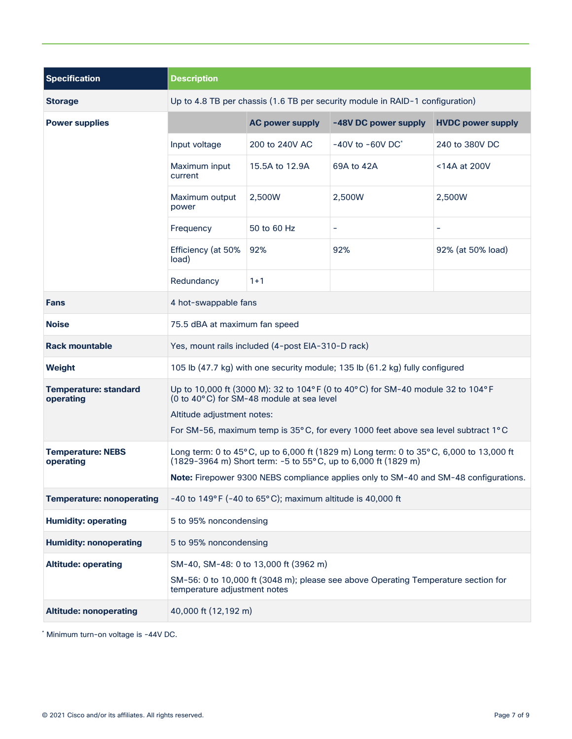| <b>Specification</b>                      | <b>Description</b>                                                                                                                                        |                                       |                                                                                    |                          |
|-------------------------------------------|-----------------------------------------------------------------------------------------------------------------------------------------------------------|---------------------------------------|------------------------------------------------------------------------------------|--------------------------|
| <b>Storage</b>                            | Up to 4.8 TB per chassis (1.6 TB per security module in RAID-1 configuration)                                                                             |                                       |                                                                                    |                          |
| <b>Power supplies</b>                     |                                                                                                                                                           | <b>AC power supply</b>                | -48V DC power supply                                                               | <b>HVDC power supply</b> |
|                                           | Input voltage                                                                                                                                             | 200 to 240V AC                        | $-40V$ to $-60V$ DC <sup>*</sup>                                                   | 240 to 380V DC           |
|                                           | Maximum input<br>current                                                                                                                                  | 15.5A to 12.9A                        | 69A to 42A                                                                         | <14A at 200V             |
|                                           | Maximum output<br>power                                                                                                                                   | 2,500W                                | 2,500W                                                                             | 2,500W                   |
|                                           | Frequency                                                                                                                                                 | 50 to 60 Hz                           |                                                                                    | -                        |
|                                           | Efficiency (at 50%<br>load)                                                                                                                               | 92%                                   | 92%                                                                                | 92% (at 50% load)        |
|                                           | Redundancy                                                                                                                                                | $1 + 1$                               |                                                                                    |                          |
| <b>Fans</b>                               | 4 hot-swappable fans                                                                                                                                      |                                       |                                                                                    |                          |
| <b>Noise</b>                              | 75.5 dBA at maximum fan speed                                                                                                                             |                                       |                                                                                    |                          |
| <b>Rack mountable</b>                     | Yes, mount rails included (4-post EIA-310-D rack)                                                                                                         |                                       |                                                                                    |                          |
| Weight                                    | 105 lb (47.7 kg) with one security module; 135 lb (61.2 kg) fully configured                                                                              |                                       |                                                                                    |                          |
| <b>Temperature: standard</b><br>operating | Up to 10,000 ft (3000 M): 32 to 104°F (0 to 40°C) for SM-40 module 32 to 104°F<br>(0 to 40°C) for SM-48 module at sea level<br>Altitude adjustment notes: |                                       |                                                                                    |                          |
|                                           |                                                                                                                                                           |                                       | For SM-56, maximum temp is 35°C, for every 1000 feet above sea level subtract 1°C  |                          |
| <b>Temperature: NEBS</b><br>operating     | Long term: 0 to 45°C, up to 6,000 ft (1829 m) Long term: 0 to 35°C, 6,000 to 13,000 ft<br>(1829-3964 m) Short term: -5 to 55°C, up to 6,000 ft (1829 m)   |                                       |                                                                                    |                          |
|                                           | Note: Firepower 9300 NEBS compliance applies only to SM-40 and SM-48 configurations.                                                                      |                                       |                                                                                    |                          |
| <b>Temperature: nonoperating</b>          | -40 to $149^{\circ}$ F (-40 to 65 $^{\circ}$ C); maximum altitude is 40,000 ft                                                                            |                                       |                                                                                    |                          |
| <b>Humidity: operating</b>                | 5 to 95% noncondensing                                                                                                                                    |                                       |                                                                                    |                          |
| <b>Humidity: nonoperating</b>             | 5 to 95% noncondensing                                                                                                                                    |                                       |                                                                                    |                          |
| <b>Altitude: operating</b>                |                                                                                                                                                           | SM-40, SM-48: 0 to 13,000 ft (3962 m) |                                                                                    |                          |
|                                           | temperature adjustment notes                                                                                                                              |                                       | SM-56: 0 to 10,000 ft (3048 m); please see above Operating Temperature section for |                          |
| <b>Altitude: nonoperating</b>             | 40,000 ft (12,192 m)                                                                                                                                      |                                       |                                                                                    |                          |

\* Minimum turn-on voltage is -44V DC.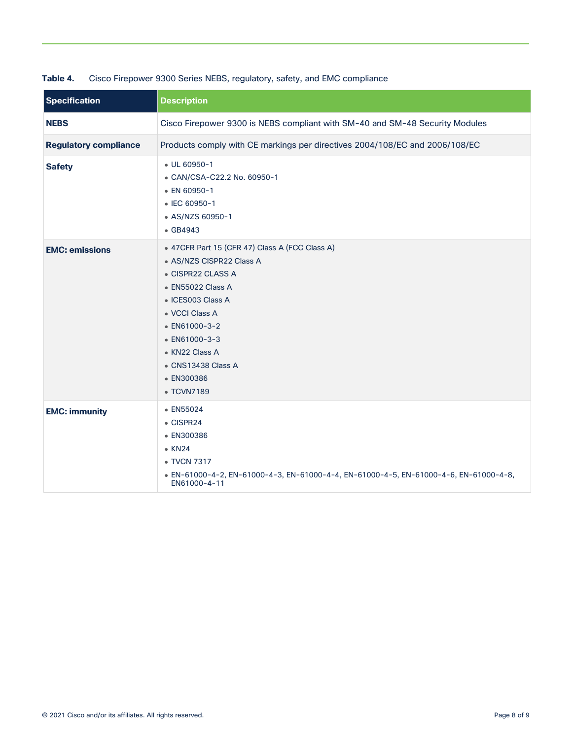| <b>Specification</b>         | <b>Description</b>                                                                                                                                                                                                                                                                |
|------------------------------|-----------------------------------------------------------------------------------------------------------------------------------------------------------------------------------------------------------------------------------------------------------------------------------|
| <b>NEBS</b>                  | Cisco Firepower 9300 is NEBS compliant with SM-40 and SM-48 Security Modules                                                                                                                                                                                                      |
| <b>Regulatory compliance</b> | Products comply with CE markings per directives 2004/108/EC and 2006/108/EC                                                                                                                                                                                                       |
| <b>Safety</b>                | $\bullet$ UL 60950-1<br>• CAN/CSA-C22.2 No. 60950-1<br>• EN 60950-1<br>• IEC 60950-1<br>• AS/NZS 60950-1<br>• GB4943                                                                                                                                                              |
| <b>EMC: emissions</b>        | • 47CFR Part 15 (CFR 47) Class A (FCC Class A)<br>• AS/NZS CISPR22 Class A<br>• CISPR22 CLASS A<br>· EN55022 Class A<br>• ICES003 Class A<br>• VCCI Class A<br>$\bullet$ EN61000-3-2<br>$\bullet$ EN61000-3-3<br>• KN22 Class A<br>• CNS13438 Class A<br>• EN300386<br>• TCVN7189 |
| <b>EMC: immunity</b>         | • EN55024<br>$\bullet$ CISPR24<br>• EN300386<br>$\bullet$ KN24<br>• TVCN 7317<br>■ EN-61000-4-2, EN-61000-4-3, EN-61000-4-4, EN-61000-4-5, EN-61000-4-6, EN-61000-4-8,<br>EN61000-4-11                                                                                            |

#### **Table 4.** Cisco Firepower 9300 Series NEBS, regulatory, safety, and EMC compliance